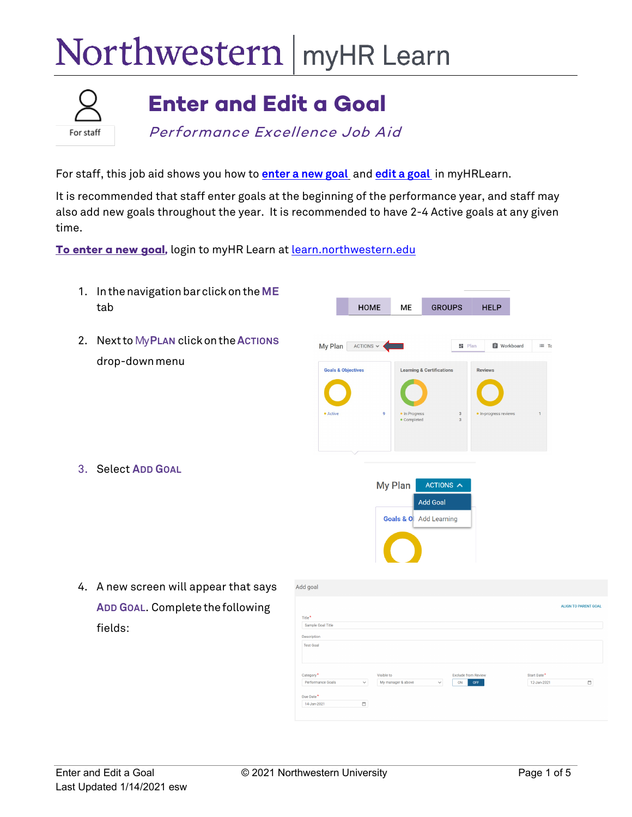## Northwestern | myHR Learn



## **Enter and Edit a Goal**

Performance Excellence Job Aid

For staff, this job aid shows you how to **enter [a new goal](#page-0-0)** and **[edit a goal](#page-3-0)** in myHRLearn.

It is recommended that staff enter goals at the beginning of the performance year, and staff may also add new goals throughout the year. It is recommended to have 2-4 Active goals at any given time.

<span id="page-0-0"></span>To enter a new goal, login to myHR Learn a[t learn.northwestern.edu](http://learn.northwestern.edu/)

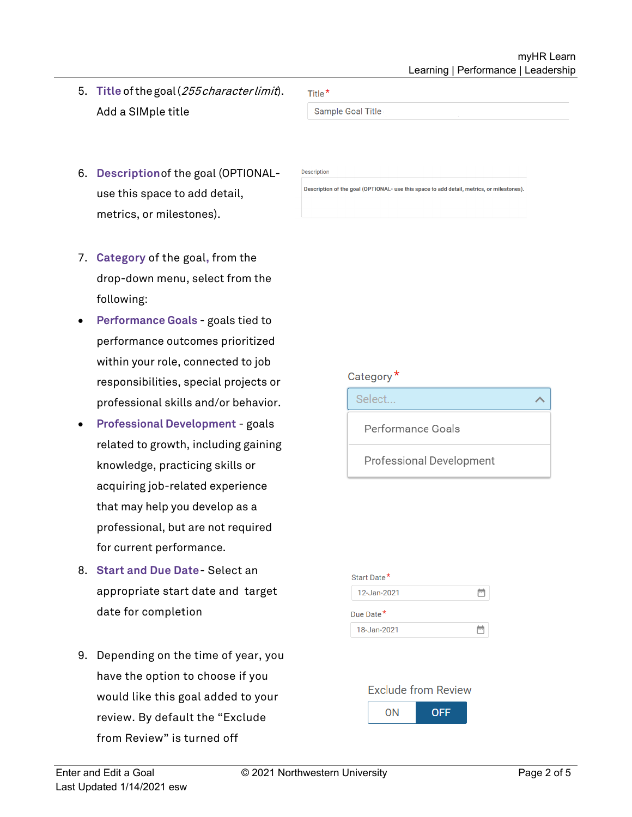- 5. **Title** ofthegoal(255characterlimit). Add a SIMple title
- 6. **Description**of the goal (OPTIONALuse this space to add detail, metrics, or milestones).
- 7. **Category** of the goal**,** from the drop-down menu, select from the following:
- **Performance Goals**  goals tied to performance outcomes prioritized within your role, connected to job responsibilities, special projects or professional skills and/or behavior.
- **Professional Development** goals related to growth, including gaining knowledge, practicing skills or acquiring job-related experience that may help you develop as a professional, but are not required for current performance.
- 8. **Start and Due Date** Select an appropriate start date and target date for completion
- 9. Depending on the time of year, you have the option to choose if you would like this goal added to your review. By default the "Exclude from Review" is turned off

Sample Goal Title

Title $*$ 

Description

Description of the goal (OPTIONAL- use this space to add detail, metrics, or milestones).

## Category<sup>\*</sup>



Professional Development

## **Exclude from Review** ON **OFF**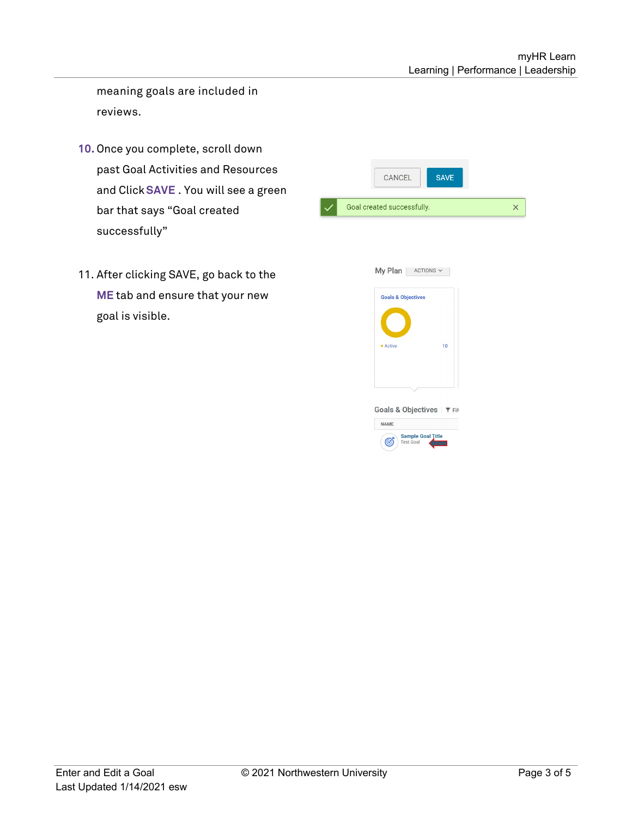meaning goals are included in reviews.

- **10.** Once you complete, scroll down past Goal Activities and Resources and Click**SAVE** . You will see a green bar that says "Goal created successfully"
- 11. After clicking SAVE, go back to the **ME** tab and ensure that your new goal is visible.

| <b>SAVE</b><br><b>CANCEL</b>                                                                                                                                     |          |
|------------------------------------------------------------------------------------------------------------------------------------------------------------------|----------|
| Goal created successfully.                                                                                                                                       | $\times$ |
| My Plan ACTIONS v<br><b>Goals &amp; Objectives</b><br>• Active<br>10<br>Goals & Objectives   ▼ Filt<br><b>NAME</b><br><b>Sample Goal Title</b><br>C<br>Test Goal |          |